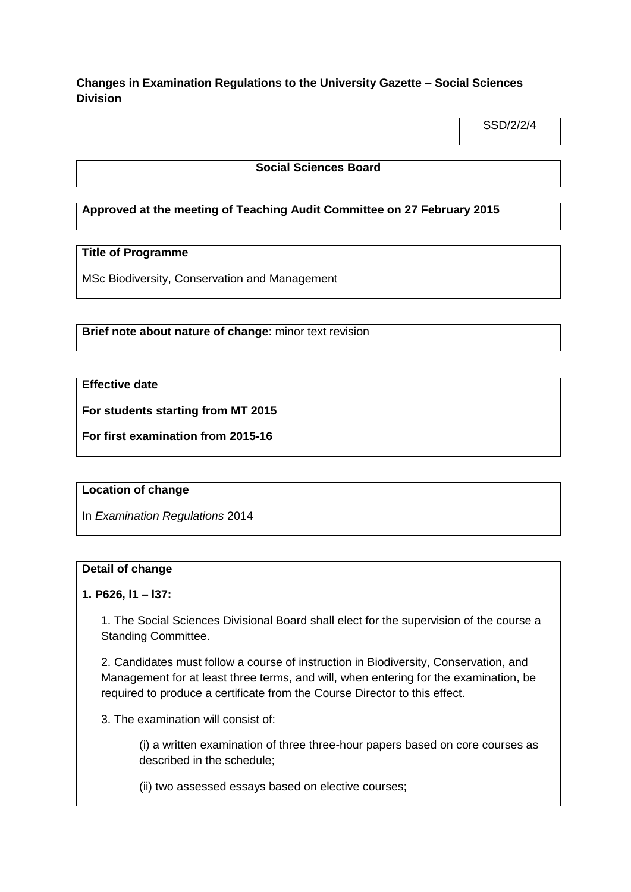**Changes in Examination Regulations to the University Gazette – Social Sciences Division**

SSD/2/2/4

## **Social Sciences Board**

## **Approved at the meeting of Teaching Audit Committee on 27 February 2015**

## **Title of Programme**

MSc Biodiversity, Conservation and Management

**Brief note about nature of change**: minor text revision

## **Effective date**

**For students starting from MT 2015**

**For first examination from 2015-16**

#### **Location of change**

In *Examination Regulations* 2014

#### **Detail of change**

## **1. P626, l1 – l37:**

1. The Social Sciences Divisional Board shall elect for the supervision of the course a Standing Committee.

2. Candidates must follow a course of instruction in Biodiversity, Conservation, and Management for at least three terms, and will, when entering for the examination, be required to produce a certificate from the Course Director to this effect.

3. The examination will consist of:

(i) a written examination of three three-hour papers based on core courses as described in the schedule;

(ii) two assessed essays based on elective courses;